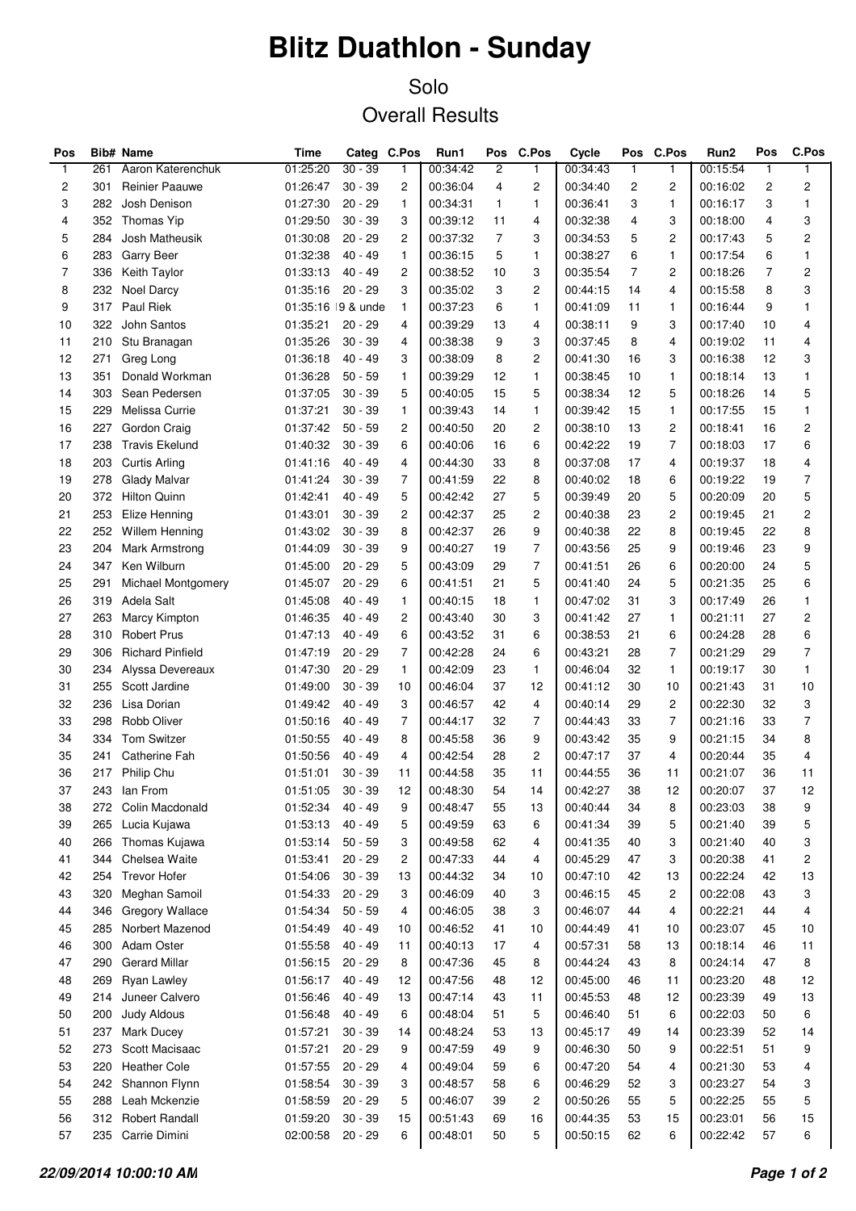## **Blitz Duathlon - Sunday**

## Solo Overall Results

| Pos            |     | Bib# Name               | Time              | Categ     | C.Pos           | Run1     | Pos            | C.Pos                   | Cycle    | Pos            | C.Pos          | Run2     | Pos          | C.Pos                   |
|----------------|-----|-------------------------|-------------------|-----------|-----------------|----------|----------------|-------------------------|----------|----------------|----------------|----------|--------------|-------------------------|
| $\mathbf{1}$   | 261 | Aaron Katerenchuk       | 01:25:20          | $30 - 39$ | $\mathbf{1}$    | 00:34:42 | 2              | $\mathbf{1}$            | 00:34:43 | $\mathbf{1}$   | 1              | 00:15:54 | $\mathbf{1}$ | $\mathbf{1}$            |
| 2              | 301 | <b>Reinier Paauwe</b>   | 01:26:47          | $30 - 39$ | $\overline{2}$  | 00:36:04 | 4              | 2                       | 00:34:40 | $\overline{c}$ | 2              | 00:16:02 | 2            | $\overline{\mathbf{c}}$ |
| 3              | 282 | Josh Denison            | 01:27:30          | $20 - 29$ | $\mathbf{1}$    | 00:34:31 | $\mathbf{1}$   | $\mathbf{1}$            | 00:36:41 | 3              | 1              | 00:16:17 | 3            | 1                       |
| 4              | 352 | Thomas Yip              | 01:29:50          | $30 - 39$ | 3               | 00:39:12 | 11             | 4                       | 00:32:38 | 4              | 3              | 00:18:00 | 4            | 3                       |
| 5              | 284 | Josh Matheusik          | 01:30:08          | $20 - 29$ | 2               | 00:37:32 | $\overline{7}$ | 3                       | 00:34:53 | 5              | 2              | 00:17:43 | 5            | 2                       |
| 6              | 283 | Garry Beer              | 01:32:38          | 40 - 49   | 1               | 00:36:15 | 5              | 1                       | 00:38:27 | 6              | 1              | 00:17:54 | 6            | 1                       |
| $\overline{7}$ | 336 | Keith Taylor            | 01:33:13          | 40 - 49   | 2               | 00:38:52 | 10             | 3                       | 00:35:54 | $\overline{7}$ | 2              | 00:18:26 | 7            | $\overline{\mathbf{c}}$ |
| 8              | 232 | <b>Noel Darcy</b>       | 01:35:16          | $20 - 29$ | 3               | 00:35:02 | 3              | 2                       | 00:44:15 | 14             | 4              | 00:15:58 | 8            | 3                       |
| 9              | 317 | Paul Riek               | 01:35:16 9 & unde |           | $\mathbf{1}$    | 00:37:23 | 6              | $\mathbf{1}$            | 00:41:09 | 11             | 1              | 00:16:44 | 9            | 1                       |
| 10             | 322 | John Santos             | 01:35:21          | $20 - 29$ | 4               | 00:39:29 | 13             | 4                       | 00:38:11 | 9              | 3              | 00:17:40 | 10           | 4                       |
| 11             | 210 | Stu Branagan            | 01:35:26          | $30 - 39$ | 4               | 00:38:38 | 9              | 3                       | 00:37:45 | 8              | 4              | 00:19:02 | 11           | 4                       |
| 12             | 271 | Greg Long               | 01:36:18          | $40 - 49$ | 3               | 00:38:09 | 8              | 2                       | 00:41:30 | 16             | 3              | 00:16:38 | 12           | 3                       |
| 13             | 351 | Donald Workman          | 01:36:28          | $50 - 59$ | 1               | 00:39:29 | 12             | $\mathbf{1}$            | 00:38:45 | 10             | 1              | 00:18:14 | 13           | 1                       |
| 14             | 303 | Sean Pedersen           | 01:37:05          | $30 - 39$ | 5               | 00:40:05 | 15             | 5                       | 00:38:34 | 12             | 5              | 00:18:26 | 14           | 5                       |
| 15             | 229 | Melissa Currie          | 01:37:21          | $30 - 39$ | $\mathbf{1}$    | 00:39:43 | 14             | $\mathbf{1}$            | 00:39:42 | 15             | 1              | 00:17:55 | 15           | 1                       |
| 16             | 227 | Gordon Craig            | 01:37:42          | $50 - 59$ | $\overline{c}$  | 00:40:50 | 20             | 2                       | 00:38:10 | 13             | 2              | 00:18:41 | 16           | 2                       |
| 17             | 238 | <b>Travis Ekelund</b>   | 01:40:32          | $30 - 39$ | 6               | 00:40:06 | 16             | 6                       | 00:42:22 | 19             | 7              | 00:18:03 | 17           | 6                       |
| 18             | 203 | Curtis Arling           | 01:41:16          | $40 - 49$ | 4               | 00:44:30 | 33             | 8                       | 00:37:08 | 17             | 4              | 00:19:37 | 18           | 4                       |
| 19             | 278 |                         |                   | $30 - 39$ | $\overline{7}$  | 00:41:59 | 22             | 8                       | 00:40:02 | 18             | 6              | 00:19:22 | 19           | 7                       |
|                |     | Glady Malvar            | 01:41:24          |           | 5               |          | 27             | 5                       |          |                | 5              |          |              |                         |
| 20             | 372 | <b>Hilton Quinn</b>     | 01:42:41          | 40 - 49   |                 | 00:42:42 |                |                         | 00:39:49 | 20             |                | 00:20:09 | 20           | 5                       |
| 21             | 253 | Elize Henning           | 01:43:01          | $30 - 39$ | $\overline{c}$  | 00:42:37 | 25             | $\overline{\mathbf{c}}$ | 00:40:38 | 23             | $\overline{c}$ | 00:19:45 | 21           | $\overline{\mathbf{c}}$ |
| 22             | 252 | <b>Willem Henning</b>   | 01:43:02          | $30 - 39$ | 8               | 00:42:37 | 26             | 9                       | 00:40:38 | 22             | 8              | 00:19:45 | 22           | 8                       |
| 23             | 204 | Mark Armstrong          | 01:44:09          | $30 - 39$ | 9               | 00:40:27 | 19             | 7                       | 00:43:56 | 25             | 9              | 00:19:46 | 23           | 9                       |
| 24             | 347 | Ken Wilburn             | 01:45:00          | $20 - 29$ | 5               | 00:43:09 | 29             | 7                       | 00:41:51 | 26             | 6              | 00:20:00 | 24           | 5                       |
| 25             | 291 | Michael Montgomery      | 01:45:07          | $20 - 29$ | 6               | 00:41:51 | 21             | 5                       | 00:41:40 | 24             | 5              | 00:21:35 | 25           | 6                       |
| 26             | 319 | Adela Salt              | 01:45:08          | 40 - 49   | $\mathbf{1}$    | 00:40:15 | 18             | 1                       | 00:47:02 | 31             | 3              | 00:17:49 | 26           | 1                       |
| 27             | 263 | Marcy Kimpton           | 01:46:35          | 40 - 49   | $\overline{c}$  | 00:43:40 | 30             | 3                       | 00:41:42 | 27             | 1              | 00:21:11 | 27           | $\overline{c}$          |
| 28             | 310 | <b>Robert Prus</b>      | 01:47:13          | 40 - 49   | 6               | 00:43:52 | 31             | 6                       | 00:38:53 | 21             | 6              | 00:24:28 | 28           | 6                       |
| 29             | 306 | <b>Richard Pinfield</b> | 01:47:19          | $20 - 29$ | 7               | 00:42:28 | 24             | 6                       | 00:43:21 | 28             | 7              | 00:21:29 | 29           | 7                       |
| 30             | 234 | Alyssa Devereaux        | 01:47:30          | $20 - 29$ | $\mathbf{1}$    | 00:42:09 | 23             | $\mathbf{1}$            | 00:46:04 | 32             | $\mathbf{1}$   | 00:19:17 | 30           | 1                       |
| 31             | 255 | Scott Jardine           | 01:49:00          | $30 - 39$ | 10              | 00:46:04 | 37             | 12                      | 00:41:12 | 30             | 10             | 00:21:43 | 31           | 10                      |
| 32             | 236 | Lisa Dorian             | 01:49:42          | 40 - 49   | 3               | 00:46:57 | 42             | 4                       | 00:40:14 | 29             | $\overline{c}$ | 00:22:30 | 32           | 3                       |
| 33             | 298 | Robb Oliver             | 01:50:16          | 40 - 49   | $\overline{7}$  | 00:44:17 | 32             | 7                       | 00:44:43 | 33             | 7              | 00:21:16 | 33           | 7                       |
| 34             | 334 | <b>Tom Switzer</b>      | 01:50:55          | 40 - 49   | 8               | 00:45:58 | 36             | 9                       | 00:43:42 | 35             | 9              | 00:21:15 | 34           | 8                       |
| 35             | 241 | Catherine Fah           | 01:50:56          | 40 - 49   | 4               | 00:42:54 | 28             | 2                       | 00:47:17 | 37             | 4              | 00:20:44 | 35           | 4                       |
| 36             |     | 217 Philip Chu          | 01:51:01          | $30 - 39$ | 11              | 00:44:58 | 35             | 11                      | 00:44:55 | 36             | 11             | 00:21:07 | 36           | 11                      |
| 37             |     | 243 Ian From            | 01:51:05 30 - 39  |           | 12 <sub>2</sub> | 00:48:30 | 54             | 14                      | 00:42:27 | 38             | 12             | 00:20:07 | 37           | 12                      |
| 38             | 272 | Colin Macdonald         | 01:52:34          | $40 - 49$ | 9               | 00:48:47 | 55             | 13                      | 00:40:44 | 34             | 8              | 00:23:03 | 38           | 9                       |
| 39             | 265 | Lucia Kujawa            | 01:53:13          | $40 - 49$ | 5               | 00:49:59 | 63             | 6                       | 00:41:34 | 39             | 5              | 00:21:40 | 39           | 5                       |
| 40             | 266 | Thomas Kujawa           | 01:53:14          | $50 - 59$ | 3               | 00:49:58 | 62             | 4                       | 00:41:35 | 40             | 3              | 00:21:40 | 40           | 3                       |
| 41             | 344 | Chelsea Waite           | 01:53:41          | $20 - 29$ | $\overline{c}$  | 00:47:33 | 44             | 4                       | 00:45:29 | 47             | 3              | 00:20:38 | 41           | 2                       |
| 42             | 254 | <b>Trevor Hofer</b>     | 01:54:06          | $30 - 39$ | 13              | 00:44:32 | 34             | 10                      | 00:47:10 | 42             | 13             | 00:22:24 | 42           | 13                      |
| 43             | 320 | Meghan Samoil           | 01:54:33          | $20 - 29$ | 3               | 00:46:09 | 40             | 3                       | 00:46:15 | 45             | 2              | 00:22:08 | 43           | 3                       |
| 44             | 346 | Gregory Wallace         | 01:54:34          | $50 - 59$ | 4               | 00:46:05 | 38             | 3                       | 00:46:07 | 44             | 4              | 00:22:21 | 44           | 4                       |
| 45             | 285 | Norbert Mazenod         | 01:54:49          | $40 - 49$ | 10              | 00:46:52 | 41             | 10                      | 00:44:49 | 41             | 10             | 00:23:07 | 45           | 10                      |
| 46             | 300 | Adam Oster              | 01:55:58          | 40 - 49   | 11              | 00:40:13 | 17             | 4                       | 00:57:31 | 58             | 13             | 00:18:14 | 46           | 11                      |
| 47             | 290 | <b>Gerard Millar</b>    | 01:56:15          | $20 - 29$ | 8               | 00:47:36 | 45             | 8                       | 00:44:24 | 43             | 8              | 00:24:14 | 47           | 8                       |
|                |     |                         |                   |           |                 |          |                |                         |          |                |                |          |              |                         |
| 48             | 269 | Ryan Lawley             | 01:56:17          | $40 - 49$ | 12              | 00:47:56 | 48             | 12                      | 00:45:00 | 46             | 11             | 00:23:20 | 48           | 12                      |
| 49             | 214 | Juneer Calvero          | 01:56:46          | $40 - 49$ | 13              | 00:47:14 | 43             | 11                      | 00:45:53 | 48             | 12             | 00:23:39 | 49           | 13                      |
| 50             | 200 | Judy Aldous             | 01:56:48          | $40 - 49$ | 6               | 00:48:04 | 51             | 5                       | 00:46:40 | 51             | 6              | 00:22:03 | 50           | 6                       |
| 51             | 237 | Mark Ducey              | 01:57:21          | $30 - 39$ | 14              | 00:48:24 | 53             | 13                      | 00:45:17 | 49             | 14             | 00:23:39 | 52           | 14                      |
| 52             | 273 | Scott Macisaac          | 01:57:21          | $20 - 29$ | 9               | 00:47:59 | 49             | 9                       | 00:46:30 | 50             | 9              | 00:22:51 | 51           | 9                       |
| 53             | 220 | <b>Heather Cole</b>     | 01:57:55          | $20 - 29$ | 4               | 00:49:04 | 59             | 6                       | 00:47:20 | 54             | 4              | 00:21:30 | 53           | 4                       |
| 54             | 242 | Shannon Flynn           | 01:58:54          | $30 - 39$ | 3               | 00:48:57 | 58             | 6                       | 00:46:29 | 52             | 3              | 00:23:27 | 54           | 3                       |
| 55             | 288 | Leah Mckenzie           | 01:58:59          | $20 - 29$ | 5               | 00:46:07 | 39             | 2                       | 00:50:26 | 55             | 5              | 00:22:25 | 55           | 5                       |
| 56             | 312 | Robert Randall          | 01:59:20          | $30 - 39$ | 15              | 00:51:43 | 69             | 16                      | 00:44:35 | 53             | 15             | 00:23:01 | 56           | 15                      |
| 57             | 235 | Carrie Dimini           | 02:00:58          | $20 - 29$ | 6               | 00:48:01 | 50             | 5                       | 00:50:15 | 62             | 6              | 00:22:42 | 57           | 6                       |